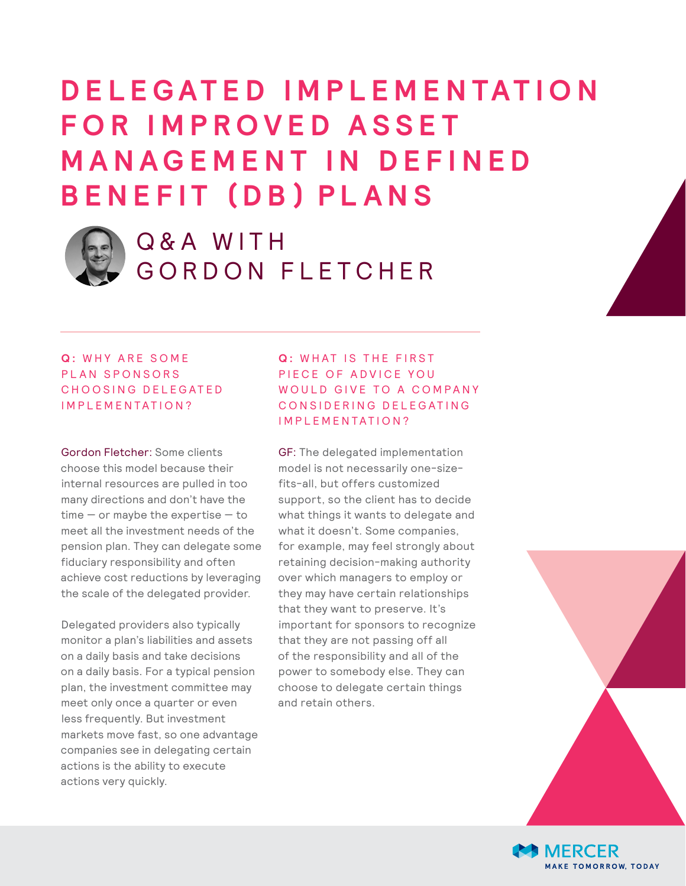# **D E L E G AT E D I M P L E M E N TAT I O N F O R I M P R O V E D A S S E T M A N A G E M E N T I N D E F I N E D BENEFIT (DB) PLANS**



## Q & A WITH GORDON FLETCHER

### **Q: WHY ARE SOME** PLAN SPONSORS CHOOSING DELEGATED IMPLEMENTATION?

Gordon Fletcher: Some clients choose this model because their internal resources are pulled in too many directions and don't have the  $time - or maybe the expertise - to$ meet all the investment needs of the pension plan. They can delegate some fiduciary responsibility and often achieve cost reductions by leveraging the scale of the delegated provider.

Delegated providers also typically monitor a plan's liabilities and assets on a daily basis and take decisions on a daily basis. For a typical pension plan, the investment committee may meet only once a quarter or even less frequently. But investment markets move fast, so one advantage companies see in delegating certain actions is the ability to execute actions very quickly.

### **Q: WHAT IS THE FIRST** PIECE OF ADVICE YOU WOULD GIVE TO A COMPANY CONSIDERING DELEGATING IMPLEMENTATION?

GF: The delegated implementation model is not necessarily one-sizefits-all, but offers customized support, so the client has to decide what things it wants to delegate and what it doesn't. Some companies, for example, may feel strongly about retaining decision-making authority over which managers to employ or they may have certain relationships that they want to preserve. It's important for sponsors to recognize that they are not passing off all of the responsibility and all of the power to somebody else. They can choose to delegate certain things and retain others.